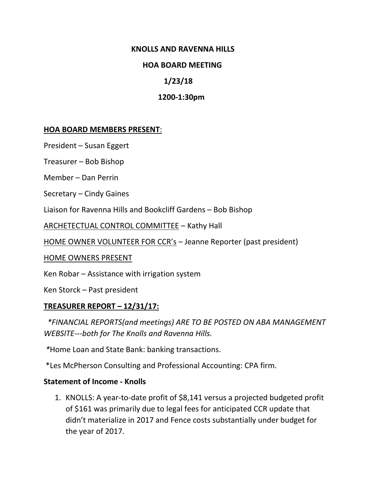#### **KNOLLS AND RAVENNA HILLS**

#### **HOA BOARD MEETING**

### **1/23/18**

#### **1200-1:30pm**

#### **HOA BOARD MEMBERS PRESENT**:

President – Susan Eggert

Treasurer – Bob Bishop

Member – Dan Perrin

Secretary – Cindy Gaines

Liaison for Ravenna Hills and Bookcliff Gardens – Bob Bishop

ARCHETECTUAL CONTROL COMMITTEE – Kathy Hall

HOME OWNER VOLUNTEER FOR CCR's – Jeanne Reporter (past president)

HOME OWNERS PRESENT

Ken Robar – Assistance with irrigation system

Ken Storck – Past president

#### **TREASURER REPORT – 12/31/17:**

 *\*FINANCIAL REPORTS(and meetings) ARE TO BE POSTED ON ABA MANAGEMENT WEBSITE---both for The Knolls and Ravenna Hills.*

*\**Home Loan and State Bank: banking transactions.

\*Les McPherson Consulting and Professional Accounting: CPA firm.

#### **Statement of Income - Knolls**

1. KNOLLS: A year-to-date profit of \$8,141 versus a projected budgeted profit of \$161 was primarily due to legal fees for anticipated CCR update that didn't materialize in 2017 and Fence costs substantially under budget for the year of 2017.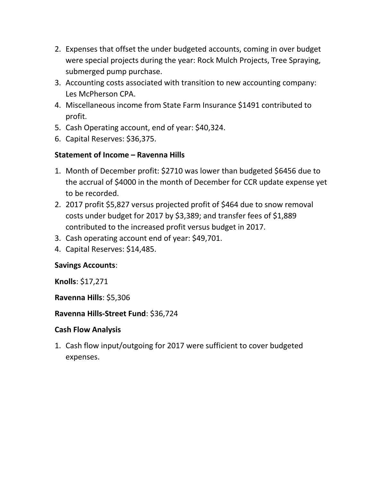- 2. Expenses that offset the under budgeted accounts, coming in over budget were special projects during the year: Rock Mulch Projects, Tree Spraying, submerged pump purchase.
- 3. Accounting costs associated with transition to new accounting company: Les McPherson CPA.
- 4. Miscellaneous income from State Farm Insurance \$1491 contributed to profit.
- 5. Cash Operating account, end of year: \$40,324.
- 6. Capital Reserves: \$36,375.

### **Statement of Income – Ravenna Hills**

- 1. Month of December profit: \$2710 was lower than budgeted \$6456 due to the accrual of \$4000 in the month of December for CCR update expense yet to be recorded.
- 2. 2017 profit \$5,827 versus projected profit of \$464 due to snow removal costs under budget for 2017 by \$3,389; and transfer fees of \$1,889 contributed to the increased profit versus budget in 2017.
- 3. Cash operating account end of year: \$49,701.
- 4. Capital Reserves: \$14,485.

### **Savings Accounts**:

**Knolls**: \$17,271

### **Ravenna Hills**: \$5,306

### **Ravenna Hills-Street Fund**: \$36,724

### **Cash Flow Analysis**

1. Cash flow input/outgoing for 2017 were sufficient to cover budgeted expenses.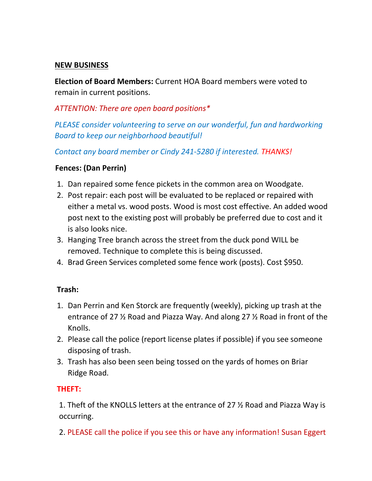### **NEW BUSINESS**

**Election of Board Members:** Current HOA Board members were voted to remain in current positions.

## *ATTENTION: There are open board positions\**

*PLEASE consider volunteering to serve on our wonderful, fun and hardworking Board to keep our neighborhood beautiful!*

*Contact any board member or Cindy 241-5280 if interested. THANKS!*

### **Fences: (Dan Perrin)**

- 1. Dan repaired some fence pickets in the common area on Woodgate.
- 2. Post repair: each post will be evaluated to be replaced or repaired with either a metal vs. wood posts. Wood is most cost effective. An added wood post next to the existing post will probably be preferred due to cost and it is also looks nice.
- 3. Hanging Tree branch across the street from the duck pond WILL be removed. Technique to complete this is being discussed.
- 4. Brad Green Services completed some fence work (posts). Cost \$950.

## **Trash:**

- 1. Dan Perrin and Ken Storck are frequently (weekly), picking up trash at the entrance of 27 ½ Road and Piazza Way. And along 27 ½ Road in front of the Knolls.
- 2. Please call the police (report license plates if possible) if you see someone disposing of trash.
- 3. Trash has also been seen being tossed on the yards of homes on Briar Ridge Road.

## **THEFT:**

1. Theft of the KNOLLS letters at the entrance of 27 ½ Road and Piazza Way is occurring.

2. PLEASE call the police if you see this or have any information! Susan Eggert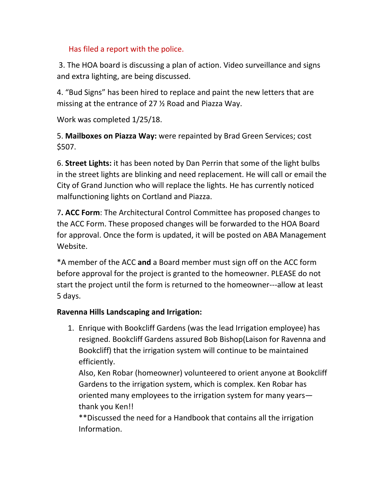# Has filed a report with the police.

3. The HOA board is discussing a plan of action. Video surveillance and signs and extra lighting, are being discussed.

4. "Bud Signs" has been hired to replace and paint the new letters that are missing at the entrance of 27 ½ Road and Piazza Way.

Work was completed 1/25/18.

5. **Mailboxes on Piazza Way:** were repainted by Brad Green Services; cost \$507.

6. **Street Lights:** it has been noted by Dan Perrin that some of the light bulbs in the street lights are blinking and need replacement. He will call or email the City of Grand Junction who will replace the lights. He has currently noticed malfunctioning lights on Cortland and Piazza.

7**. ACC Form**: The Architectural Control Committee has proposed changes to the ACC Form. These proposed changes will be forwarded to the HOA Board for approval. Once the form is updated, it will be posted on ABA Management Website.

\*A member of the ACC **and** a Board member must sign off on the ACC form before approval for the project is granted to the homeowner. PLEASE do not start the project until the form is returned to the homeowner---allow at least 5 days.

# **Ravenna Hills Landscaping and Irrigation:**

1. Enrique with Bookcliff Gardens (was the lead Irrigation employee) has resigned. Bookcliff Gardens assured Bob Bishop(Laison for Ravenna and Bookcliff) that the irrigation system will continue to be maintained efficiently.

Also, Ken Robar (homeowner) volunteered to orient anyone at Bookcliff Gardens to the irrigation system, which is complex. Ken Robar has oriented many employees to the irrigation system for many years thank you Ken!!

\*\*Discussed the need for a Handbook that contains all the irrigation Information.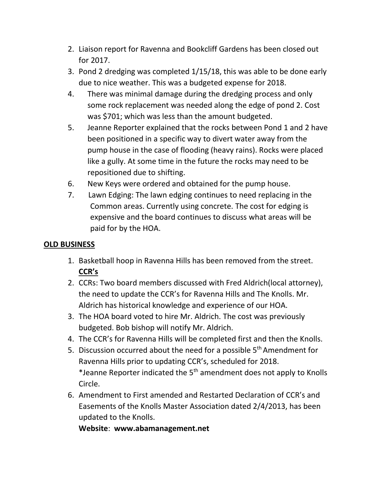- 2. Liaison report for Ravenna and Bookcliff Gardens has been closed out for 2017.
- 3. Pond 2 dredging was completed 1/15/18, this was able to be done early due to nice weather. This was a budgeted expense for 2018.
- 4. There was minimal damage during the dredging process and only some rock replacement was needed along the edge of pond 2. Cost was \$701; which was less than the amount budgeted.
- 5. Jeanne Reporter explained that the rocks between Pond 1 and 2 have been positioned in a specific way to divert water away from the pump house in the case of flooding (heavy rains). Rocks were placed like a gully. At some time in the future the rocks may need to be repositioned due to shifting.
- 6. New Keys were ordered and obtained for the pump house.
- 7. Lawn Edging: The lawn edging continues to need replacing in the Common areas. Currently using concrete. The cost for edging is expensive and the board continues to discuss what areas will be paid for by the HOA.

# **OLD BUSINESS**

- 1. Basketball hoop in Ravenna Hills has been removed from the street. **CCR's**
- 2. CCRs: Two board members discussed with Fred Aldrich(local attorney), the need to update the CCR's for Ravenna Hills and The Knolls. Mr. Aldrich has historical knowledge and experience of our HOA.
- 3. The HOA board voted to hire Mr. Aldrich. The cost was previously budgeted. Bob bishop will notify Mr. Aldrich.
- 4. The CCR's for Ravenna Hills will be completed first and then the Knolls.
- 5. Discussion occurred about the need for a possible 5<sup>th</sup> Amendment for Ravenna Hills prior to updating CCR's, scheduled for 2018. \*Jeanne Reporter indicated the  $5<sup>th</sup>$  amendment does not apply to Knolls Circle.
- 6. Amendment to First amended and Restarted Declaration of CCR's and Easements of the Knolls Master Association dated 2/4/2013, has been updated to the Knolls.

**Website**: **www.abamanagement.net**